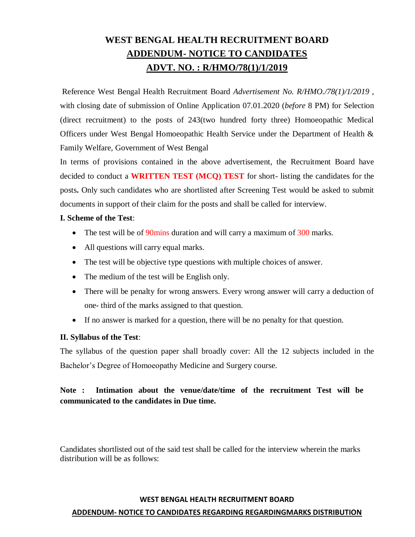# **WEST BENGAL HEALTH RECRUITMENT BOARD ADDENDUM- NOTICE TO CANDIDATES ADVT. NO. : R/HMO/78(1)/1/2019**

Reference West Bengal Health Recruitment Board *Advertisement No. R/HMO./78(1)/1/2019* , with closing date of submission of Online Application 07.01.2020 (*before* 8 PM) for Selection (direct recruitment) to the posts of 243(two hundred forty three) Homoeopathic Medical Officers under West Bengal Homoeopathic Health Service under the Department of Health & Family Welfare, Government of West Bengal

In terms of provisions contained in the above advertisement, the Recruitment Board have decided to conduct a **WRITTEN TEST (MCQ) TEST** for short- listing the candidates for the posts**.** Only such candidates who are shortlisted after Screening Test would be asked to submit documents in support of their claim for the posts and shall be called for interview.

### **I. Scheme of the Test**:

- The test will be of  $90$  mins duration and will carry a maximum of  $300$  marks.
- All questions will carry equal marks.
- The test will be objective type questions with multiple choices of answer.
- The medium of the test will be English only.
- There will be penalty for wrong answers. Every wrong answer will carry a deduction of one- third of the marks assigned to that question.
- If no answer is marked for a question, there will be no penalty for that question.

## **II. Syllabus of the Test**:

The syllabus of the question paper shall broadly cover: All the 12 subjects included in the Bachelor's Degree of Homoeopathy Medicine and Surgery course.

# **Note : Intimation about the venue/date/time of the recruitment Test will be communicated to the candidates in Due time.**

Candidates shortlisted out of the said test shall be called for the interview wherein the marks distribution will be as follows:

#### **WEST BENGAL HEALTH RECRUITMENT BOARD**

#### **ADDENDUM- NOTICE TO CANDIDATES REGARDING REGARDINGMARKS DISTRIBUTION**